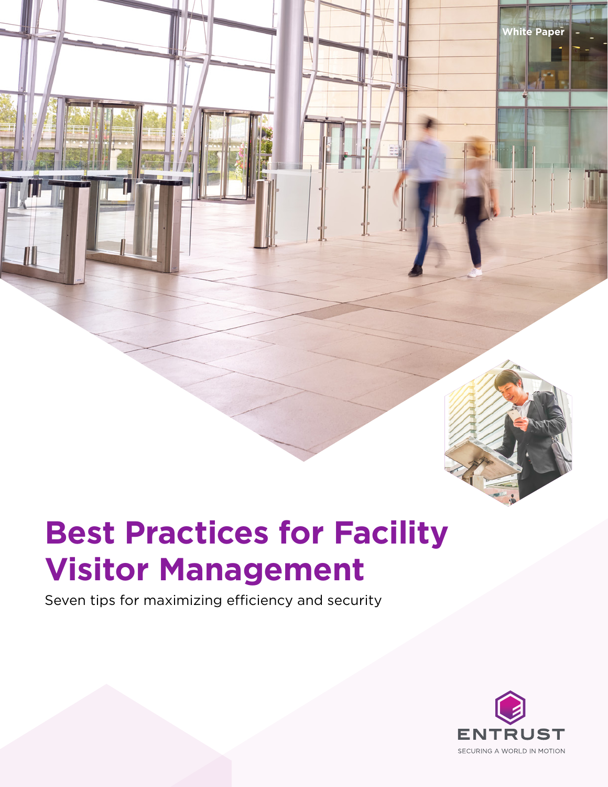

**White Paper**

## **Best Practices for Facility Visitor Management**

Seven tips for maximizing efficiency and security

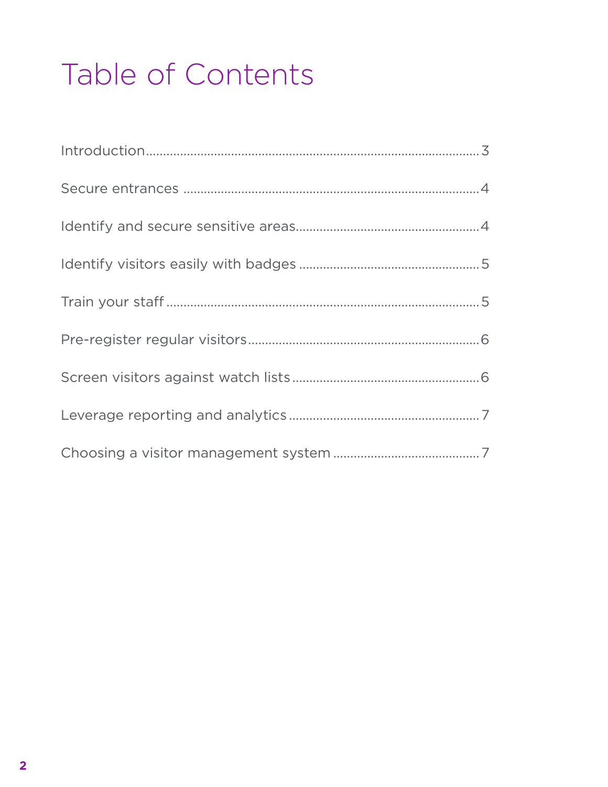# Table of Contents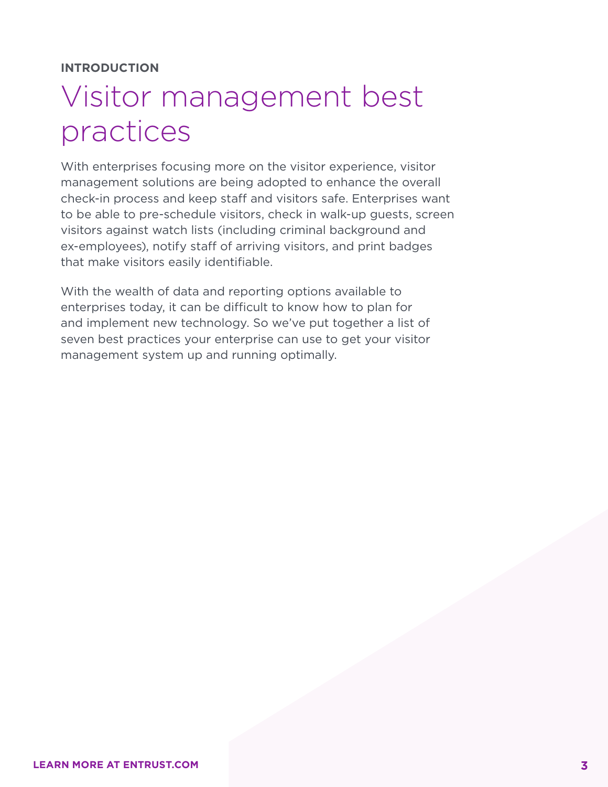#### **INTRODUCTION**

#### Visitor management best practices

With enterprises focusing more on the visitor experience, visitor management solutions are being adopted to enhance the overall check-in process and keep staff and visitors safe. Enterprises want to be able to pre-schedule visitors, check in walk-up guests, screen visitors against watch lists (including criminal background and ex-employees), notify staff of arriving visitors, and print badges that make visitors easily identifiable.

With the wealth of data and reporting options available to enterprises today, it can be difficult to know how to plan for and implement new technology. So we've put together a list of seven best practices your enterprise can use to get your visitor management system up and running optimally.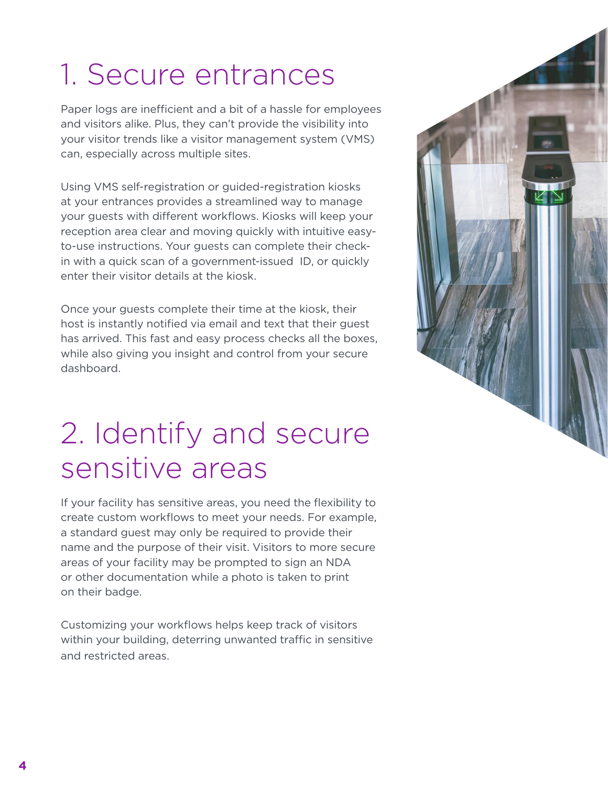## 1. Secure entrances

Paper logs are inefficient and a bit of a hassle for employees and visitors alike. Plus, they can't provide the visibility into your visitor trends like a visitor management system (VMS) can, especially across multiple sites.

Using VMS self-registration or guided-registration kiosks at your entrances provides a streamlined way to manage your guests with different workflows. Kiosks will keep your reception area clear and moving quickly with intuitive easyto-use instructions. Your guests can complete their checkin with a quick scan of a government-issued ID, or quickly enter their visitor details at the kiosk.

Once your guests complete their time at the kiosk, their host is instantly notified via email and text that their guest has arrived. This fast and easy process checks all the boxes, while also giving you insight and control from your secure dashboard.

#### 2. Identify and secure sensitive areas

If your facility has sensitive areas, you need the flexibility to create custom workflows to meet your needs. For example, a standard guest may only be required to provide their name and the purpose of their visit. Visitors to more secure areas of your facility may be prompted to sign an NDA or other documentation while a photo is taken to print on their badge.

Customizing your workflows helps keep track of visitors within your building, deterring unwanted traffic in sensitive and restricted areas.

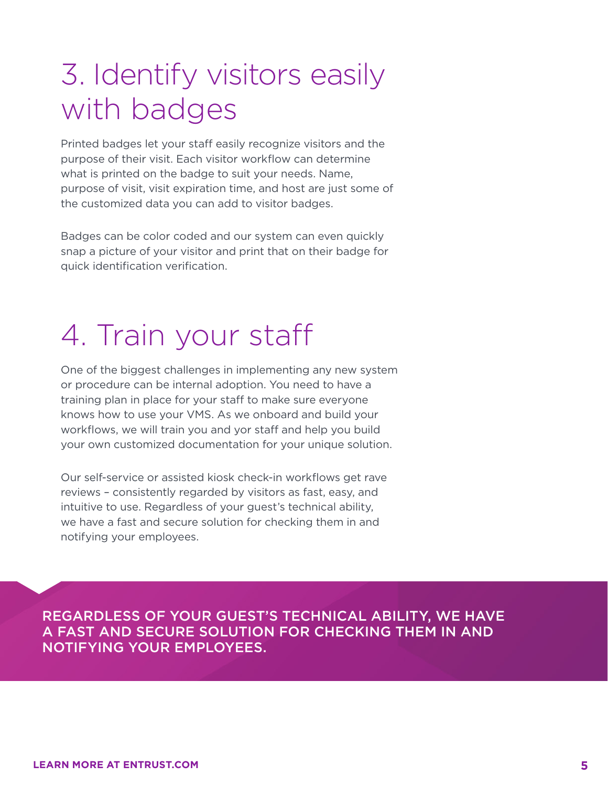#### 3. Identify visitors easily with badges

Printed badges let your staff easily recognize visitors and the purpose of their visit. Each visitor workflow can determine what is printed on the badge to suit your needs. Name, purpose of visit, visit expiration time, and host are just some of the customized data you can add to visitor badges.

Badges can be color coded and our system can even quickly snap a picture of your visitor and print that on their badge for quick identification verification.

## 4. Train your staff

One of the biggest challenges in implementing any new system or procedure can be internal adoption. You need to have a training plan in place for your staff to make sure everyone knows how to use your VMS. As we onboard and build your workflows, we will train you and yor staff and help you build your own customized documentation for your unique solution.

Our self-service or assisted kiosk check-in workflows get rave reviews – consistently regarded by visitors as fast, easy, and intuitive to use. Regardless of your guest's technical ability, we have a fast and secure solution for checking them in and notifying your employees.

REGARDLESS OF YOUR GUEST'S TECHNICAL ABILITY, WE HAVE A FAST AND SECURE SOLUTION FOR CHECKING THEM IN AND NOTIFYING YOUR EMPLOYEES.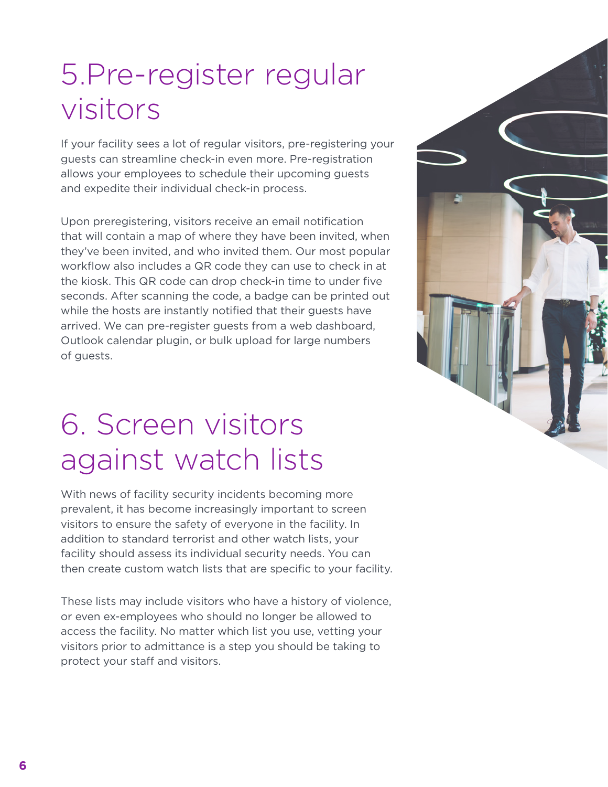#### 5.Pre-register regular visitors

If your facility sees a lot of regular visitors, pre-registering your guests can streamline check-in even more. Pre-registration allows your employees to schedule their upcoming guests and expedite their individual check-in process.

Upon preregistering, visitors receive an email notification that will contain a map of where they have been invited, when they've been invited, and who invited them. Our most popular workflow also includes a QR code they can use to check in at the kiosk. This QR code can drop check-in time to under five seconds. After scanning the code, a badge can be printed out while the hosts are instantly notified that their guests have arrived. We can pre-register guests from a web dashboard, Outlook calendar plugin, or bulk upload for large numbers of guests.

## 6. Screen visitors against watch lists

With news of facility security incidents becoming more prevalent, it has become increasingly important to screen visitors to ensure the safety of everyone in the facility. In addition to standard terrorist and other watch lists, your facility should assess its individual security needs. You can then create custom watch lists that are specific to your facility.

These lists may include visitors who have a history of violence, or even ex-employees who should no longer be allowed to access the facility. No matter which list you use, vetting your visitors prior to admittance is a step you should be taking to protect your staff and visitors.

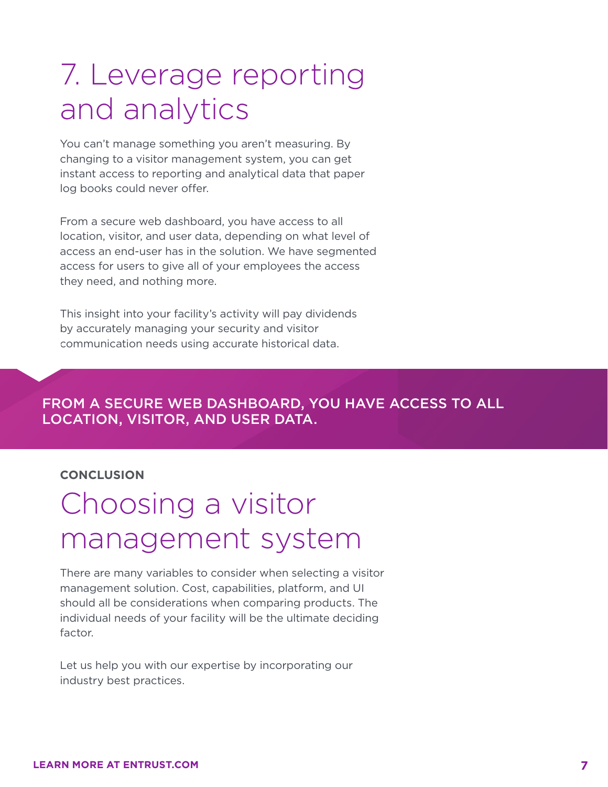#### 7. Leverage reporting and analytics

You can't manage something you aren't measuring. By changing to a visitor management system, you can get instant access to reporting and analytical data that paper log books could never offer.

From a secure web dashboard, you have access to all location, visitor, and user data, depending on what level of access an end-user has in the solution. We have segmented access for users to give all of your employees the access they need, and nothing more.

This insight into your facility's activity will pay dividends by accurately managing your security and visitor communication needs using accurate historical data.

#### FROM A SECURE WEB DASHBOARD, YOU HAVE ACCESS TO ALL LOCATION, VISITOR, AND USER DATA.

#### **CONCLUSION**

#### Choosing a visitor management system

There are many variables to consider when selecting a visitor management solution. Cost, capabilities, platform, and UI should all be considerations when comparing products. The individual needs of your facility will be the ultimate deciding factor.

Let us help you with our expertise by incorporating our industry best practices.